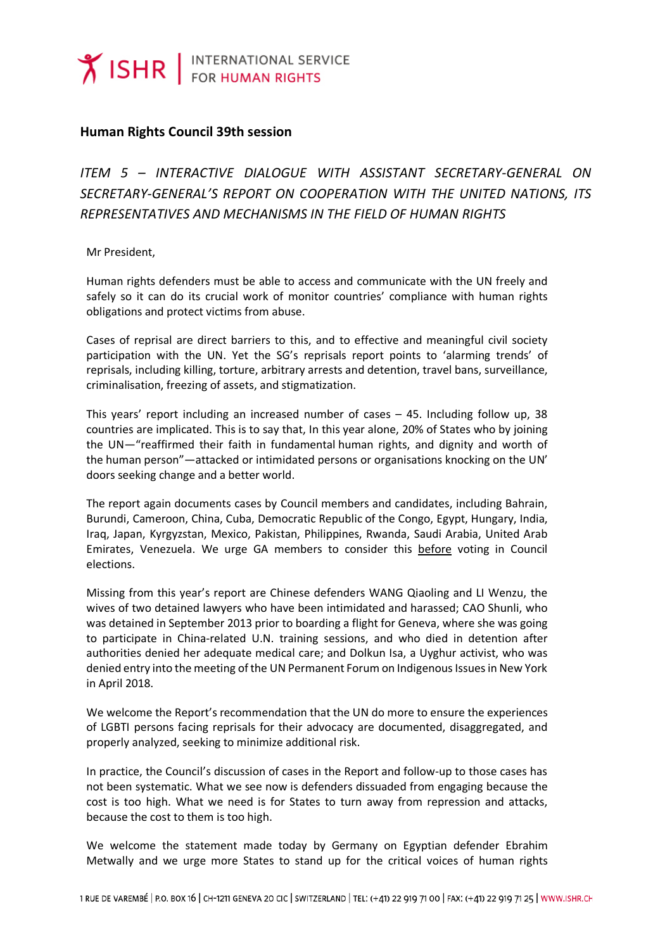## **Human Rights Council 39th session**

*ITEM 5 – INTERACTIVE DIALOGUE WITH ASSISTANT SECRETARY-GENERAL ON SECRETARY-GENERAL'S REPORT ON COOPERATION WITH THE UNITED NATIONS, ITS REPRESENTATIVES AND MECHANISMS IN THE FIELD OF HUMAN RIGHTS*

Mr President,

Human rights defenders must be able to access and communicate with the UN freely and safely so it can do its crucial work of monitor countries' compliance with human rights obligations and protect victims from abuse.

Cases of reprisal are direct barriers to this, and to effective and meaningful civil society participation with the UN. Yet the SG's reprisals report points to 'alarming trends' of reprisals, including killing, torture, arbitrary arrests and detention, travel bans, surveillance, criminalisation, freezing of assets, and stigmatization.

This years' report including an increased number of cases – 45. Including follow up, 38 countries are implicated. This is to say that, In this year alone, 20% of States who by joining the UN—"reaffirmed their faith in fundamental human rights, and dignity and worth of the human person"—attacked or intimidated persons or organisations knocking on the UN' doors seeking change and a better world.

The report again documents cases by Council members and candidates, including Bahrain, Burundi, Cameroon, China, Cuba, Democratic Republic of the Congo, Egypt, Hungary, India, Iraq, Japan, Kyrgyzstan, Mexico, Pakistan, Philippines, Rwanda, Saudi Arabia, United Arab Emirates, Venezuela. We urge GA members to consider this before voting in Council elections.

Missing from this year's report are Chinese defenders WANG Qiaoling and LI Wenzu, the wives of two detained lawyers who have been intimidated and harassed; CAO Shunli, who was detained in September 2013 prior to boarding a flight for Geneva, where she was going to participate in China-related U.N. training sessions, and who died in detention after authorities denied her adequate medical care; and Dolkun Isa, a Uyghur activist, who was denied entry into the meeting of the UN Permanent Forum on Indigenous Issues in New York in April 2018.

We welcome the Report's recommendation that the UN do more to ensure the experiences of LGBTI persons facing reprisals for their advocacy are documented, disaggregated, and properly analyzed, seeking to minimize additional risk.

In practice, the Council's discussion of cases in the Report and follow-up to those cases has not been systematic. What we see now is defenders dissuaded from engaging because the cost is too high. What we need is for States to turn away from repression and attacks, because the cost to them is too high.

We welcome the statement made today by Germany on Egyptian defender Ebrahim Metwally and we urge more States to stand up for the critical voices of human rights